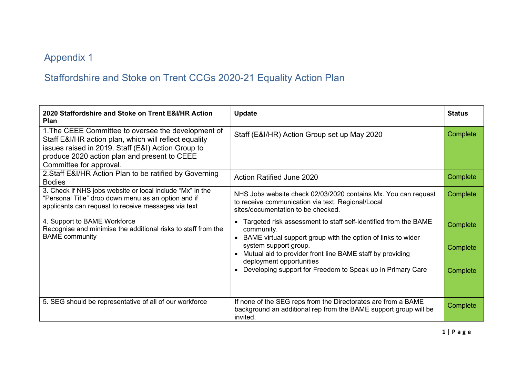## Appendix 1

## Staffordshire and Stoke on Trent CCGs 2020-21 Equality Action Plan

| 2020 Staffordshire and Stoke on Trent E&I/HR Action<br><b>Plan</b>                                                                                                                                                                            | <b>Update</b>                                                                                                                                                                                                                                                                                                                 | <b>Status</b>                    |
|-----------------------------------------------------------------------------------------------------------------------------------------------------------------------------------------------------------------------------------------------|-------------------------------------------------------------------------------------------------------------------------------------------------------------------------------------------------------------------------------------------------------------------------------------------------------------------------------|----------------------------------|
| 1. The CEEE Committee to oversee the development of<br>Staff E&I/HR action plan, which will reflect equality<br>issues raised in 2019. Staff (E&I) Action Group to<br>produce 2020 action plan and present to CEEE<br>Committee for approval. | Staff (E&I/HR) Action Group set up May 2020                                                                                                                                                                                                                                                                                   | Complete                         |
| 2. Staff E&I/HR Action Plan to be ratified by Governing<br><b>Bodies</b>                                                                                                                                                                      | <b>Action Ratified June 2020</b>                                                                                                                                                                                                                                                                                              | Complete                         |
| 3. Check if NHS jobs website or local include "Mx" in the<br>"Personal Title" drop down menu as an option and if<br>applicants can request to receive messages via text                                                                       | NHS Jobs website check 02/03/2020 contains Mx. You can request<br>to receive communication via text. Regional/Local<br>sites/documentation to be checked.                                                                                                                                                                     | Complete                         |
| 4. Support to BAME Workforce<br>Recognise and minimise the additional risks to staff from the<br><b>BAME</b> community                                                                                                                        | Targeted risk assessment to staff self-identified from the BAME<br>community.<br>BAME virtual support group with the option of links to wider<br>system support group.<br>Mutual aid to provider front line BAME staff by providing<br>deployment opportunities<br>Developing support for Freedom to Speak up in Primary Care | Complete<br>Complete<br>Complete |
| 5. SEG should be representative of all of our workforce                                                                                                                                                                                       | If none of the SEG reps from the Directorates are from a BAME<br>background an additional rep from the BAME support group will be<br>invited.                                                                                                                                                                                 | Complete                         |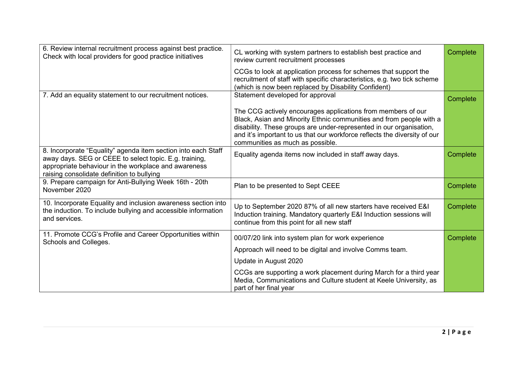| 6. Review internal recruitment process against best practice.<br>Check with local providers for good practice initiatives                                                                                                     | CL working with system partners to establish best practice and<br>review current recruitment processes                                                                                                                                                                                                                      | Complete |
|-------------------------------------------------------------------------------------------------------------------------------------------------------------------------------------------------------------------------------|-----------------------------------------------------------------------------------------------------------------------------------------------------------------------------------------------------------------------------------------------------------------------------------------------------------------------------|----------|
|                                                                                                                                                                                                                               | CCGs to look at application process for schemes that support the<br>recruitment of staff with specific characteristics, e.g. two tick scheme<br>(which is now been replaced by Disability Confident)                                                                                                                        |          |
| 7. Add an equality statement to our recruitment notices.                                                                                                                                                                      | Statement developed for approval                                                                                                                                                                                                                                                                                            | Complete |
|                                                                                                                                                                                                                               | The CCG actively encourages applications from members of our<br>Black, Asian and Minority Ethnic communities and from people with a<br>disability. These groups are under-represented in our organisation,<br>and it's important to us that our workforce reflects the diversity of our<br>communities as much as possible. |          |
| 8. Incorporate "Equality" agenda item section into each Staff<br>away days. SEG or CEEE to select topic. E.g. training,<br>appropriate behaviour in the workplace and awareness<br>raising consolidate definition to bullying | Equality agenda items now included in staff away days.                                                                                                                                                                                                                                                                      | Complete |
| 9. Prepare campaign for Anti-Bullying Week 16th - 20th<br>November 2020                                                                                                                                                       | Plan to be presented to Sept CEEE                                                                                                                                                                                                                                                                                           | Complete |
| 10. Incorporate Equality and inclusion awareness section into<br>the induction. To include bullying and accessible information<br>and services.                                                                               | Up to September 2020 87% of all new starters have received E&I<br>Induction training. Mandatory quarterly E&I Induction sessions will<br>continue from this point for all new staff                                                                                                                                         | Complete |
| 11. Promote CCG's Profile and Career Opportunities within<br>Schools and Colleges.                                                                                                                                            | 00/07/20 link into system plan for work experience                                                                                                                                                                                                                                                                          | Complete |
|                                                                                                                                                                                                                               | Approach will need to be digital and involve Comms team.                                                                                                                                                                                                                                                                    |          |
|                                                                                                                                                                                                                               | Update in August 2020                                                                                                                                                                                                                                                                                                       |          |
|                                                                                                                                                                                                                               | CCGs are supporting a work placement during March for a third year<br>Media, Communications and Culture student at Keele University, as<br>part of her final year                                                                                                                                                           |          |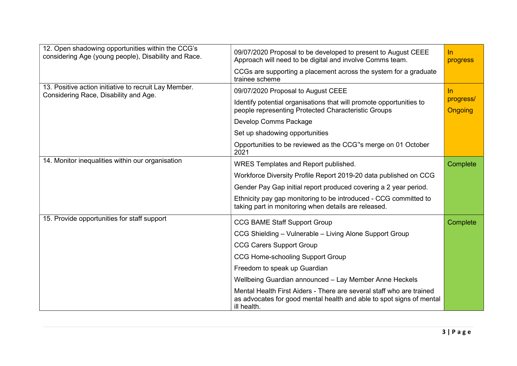| 12. Open shadowing opportunities within the CCG's<br>considering Age (young people), Disability and Race. | 09/07/2020 Proposal to be developed to present to August CEEE<br>Approach will need to be digital and involve Comms team.                                   | $\ln$<br>progress           |
|-----------------------------------------------------------------------------------------------------------|-------------------------------------------------------------------------------------------------------------------------------------------------------------|-----------------------------|
|                                                                                                           | CCGs are supporting a placement across the system for a graduate<br>trainee scheme                                                                          |                             |
| 13. Positive action initiative to recruit Lay Member.<br>Considering Race, Disability and Age.            | 09/07/2020 Proposal to August CEEE                                                                                                                          | In.                         |
|                                                                                                           | Identify potential organisations that will promote opportunities to<br>people representing Protected Characteristic Groups                                  | progress/<br><b>Ongoing</b> |
|                                                                                                           | Develop Comms Package                                                                                                                                       |                             |
|                                                                                                           | Set up shadowing opportunities                                                                                                                              |                             |
|                                                                                                           | Opportunities to be reviewed as the CCG"s merge on 01 October<br>2021                                                                                       |                             |
| 14. Monitor inequalities within our organisation                                                          | WRES Templates and Report published.                                                                                                                        | Complete                    |
|                                                                                                           | Workforce Diversity Profile Report 2019-20 data published on CCG                                                                                            |                             |
|                                                                                                           | Gender Pay Gap initial report produced covering a 2 year period.                                                                                            |                             |
|                                                                                                           | Ethnicity pay gap monitoring to be introduced - CCG committed to<br>taking part in monitoring when details are released.                                    |                             |
| 15. Provide opportunities for staff support                                                               | <b>CCG BAME Staff Support Group</b>                                                                                                                         | Complete                    |
|                                                                                                           | CCG Shielding - Vulnerable - Living Alone Support Group                                                                                                     |                             |
|                                                                                                           | <b>CCG Carers Support Group</b>                                                                                                                             |                             |
|                                                                                                           | <b>CCG Home-schooling Support Group</b>                                                                                                                     |                             |
|                                                                                                           | Freedom to speak up Guardian                                                                                                                                |                             |
|                                                                                                           | Wellbeing Guardian announced - Lay Member Anne Heckels                                                                                                      |                             |
|                                                                                                           | Mental Health First Aiders - There are several staff who are trained<br>as advocates for good mental health and able to spot signs of mental<br>ill health. |                             |